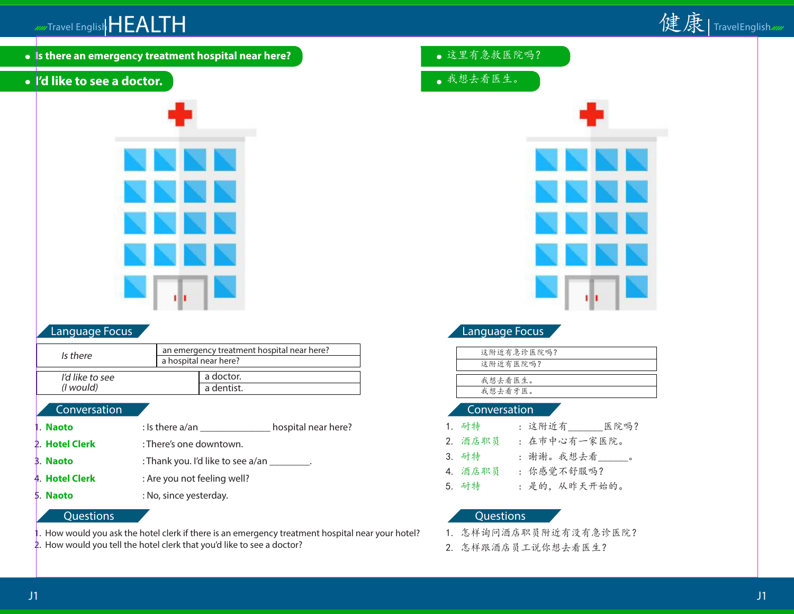

**Is there an emergency treatment hospital near here?**

# **I'd like to see a doctor.**



### Language Focus

| Is there          | an emergency treatment hospital near here?<br>a hospital near here? |
|-------------------|---------------------------------------------------------------------|
| I'd like to see   | a doctor.                                                           |
| ( <i>l</i> would) | a dentist.                                                          |

### **Conversation**

- 1. **Naoto** : Is there a/an \_\_\_\_\_\_\_\_\_\_\_\_\_\_\_\_\_\_ hospital near here? 2. **Hotel Clerk** : There's one downtown. 3. **Naoto** : Thank you. I'd like to see a/an \_\_\_\_\_\_\_\_. 4. **Hotel Clerk** : Are you not feeling well?
- 5. **Naoto** : No, since yesterday.

#### **Questions**

1. How would you ask the hotel clerk if there is an emergency treatment hospital near your hotel?

2. How would you tell the hotel clerk that you'd like to see a doctor?

- 这里有急救医院吗?
- 我想去看医生。



# Language Focus

| 这附近有急诊医院吗? |
|------------|
| 这附近有医院吗?   |
|            |
| 我想去看医生。    |
| 我想去看牙医。    |
|            |

#### Conversation

| 1. 耐特   | : 这附近有<br>医院吗? |
|---------|----------------|
| 2. 酒店职员 | : 在市中心有一家医院。   |
| 3. 耐特   | : 谢谢。我想去看___。  |
| 4. 酒店职员 | : 你感觉不舒服吗?     |
| 5. 耐特   | : 是的, 从昨天开始的。  |

- 1. 怎样询问酒店职员附近有没有急诊医院?
- 2. 怎样跟酒店员工说你想去看医生?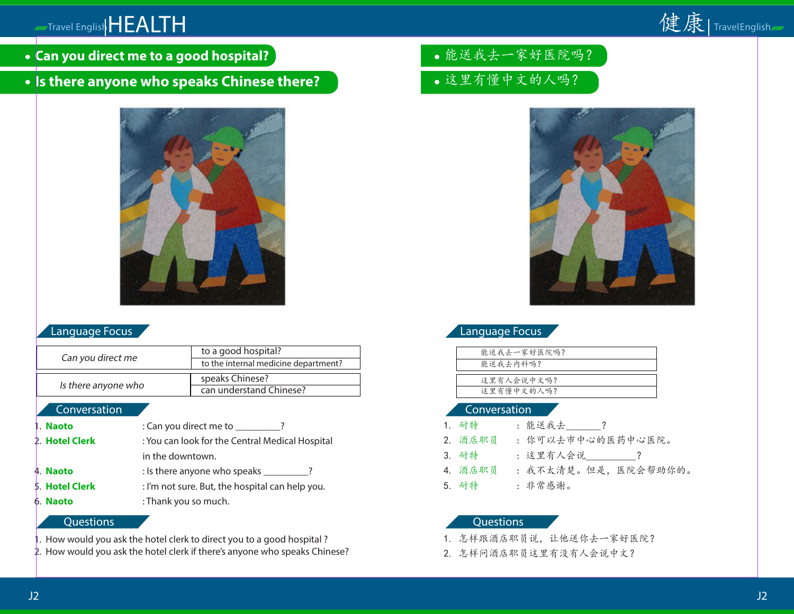# Travel English HEALTH



**Can you direct me to a good hospital?**

# **Is there anyone who speaks Chinese there?**



# Language Focus

| Can you direct me   | to a good hospital?                  |
|---------------------|--------------------------------------|
|                     | to the internal medicine department? |
|                     |                                      |
|                     | speaks Chinese?                      |
| Is there anyone who | can understand Chinese?              |

#### **Conversation**

| 1. Naoto       | : Can you direct me to ________?                |  |
|----------------|-------------------------------------------------|--|
| 2. Hotel Clerk | : You can look for the Central Medical Hospital |  |
|                | in the downtown.                                |  |
| 4. Naoto       | : Is there anyone who speaks ________?          |  |
| 5. Hotel Clerk | : I'm not sure. But, the hospital can help you. |  |
| 6. Naoto       | : Thank you so much.                            |  |

#### **Questions**

- . How would you ask the hotel clerk to direct you to a good hospital ?
- 2. How would you ask the hotel clerk if there's anyone who speaks Chinese?
- 能送我去一家好医院吗?
- 这里有懂中文的人吗?



# Language Focus

| 能送我去一家好医院吗? |
|-------------|
| 能送我去内科吗?    |
|             |
| 这里有人会说中文吗?  |
| 这里有懂中文的人吗?  |
|             |

#### Conversation

| 1. 耐特   | : 能送我去 ?             |
|---------|----------------------|
| 2. 酒店职员 | : 你可以去市中心的医药中心医院。    |
| 3. 耐特   | : 这里有人会说 ________?   |
| 4. 酒店职员 | : 我不太清楚。但是, 医院会帮助你的。 |
| 5. 耐特   | : 非常感谢。              |
|         |                      |

- 1. 怎样跟酒店职员说,让他送你去一家好医院?
- 2. 怎样问酒店职员这里有没有人会说中文?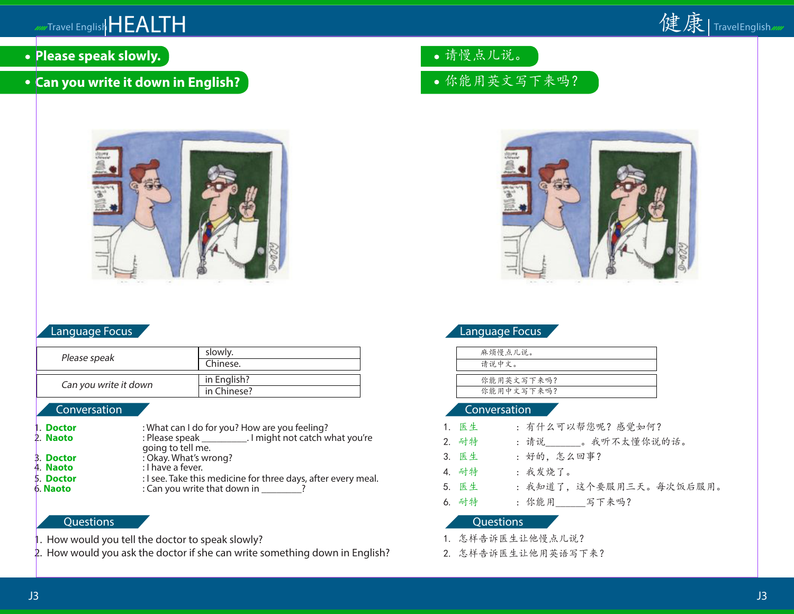

- **Please speak slowly.**
- **Can you write it down in English?**



### Language Focus

| slowly.     |
|-------------|
| Chinese.    |
|             |
| in English? |
| in Chinese? |
|             |

#### Conversation

| 1. Doctor | : What can I do for you? How are you feeling? |
|-----------|-----------------------------------------------|
|-----------|-----------------------------------------------|

- 2. **Naoto** : Please speak 1. I might not catch what you're going to tell me.<br>
2. **Doctor** : Okav. What's wrong?
- 3. **Doctor** : Okay. What's wrong?
- 4. **Naoto** : I have a fever.
- 5. **Doctor :** I see. Take this medicine for three days, after every meal.
- 

6. **Naoto** : Can you write that down in \_\_\_\_\_\_\_\_?

# **Questions**

- 1. How would you tell the doctor to speak slowly?
- 2. How would you ask the doctor if she can write something down in English?

请慢点儿说。

# 你能用英文写下来吗?



# Language Focus

| 麻烦慢点儿说。    |
|------------|
| 请说中文。      |
|            |
| 你能用英文写下来吗? |
| 你能用中文写下来吗? |
|            |

#### Conversation

| 1. 医生 | : 有什么可以帮您呢? 感觉如何?       |
|-------|-------------------------|
| 2. 耐特 | : 请说 。我听不太懂你说的话。        |
| 3. 医生 | : 好的, 怎么回事?             |
| 4. 耐特 | : 我发烧了。                 |
| 5. 医生 | : 我知道了, 这个要服用三天。每次饭后服用。 |
| 6. 耐特 | : 你能用 写下来吗?             |
|       |                         |

- 1. 怎样告诉医生让他慢点儿说?
- 2. 怎样告诉医生让他用英语写下来?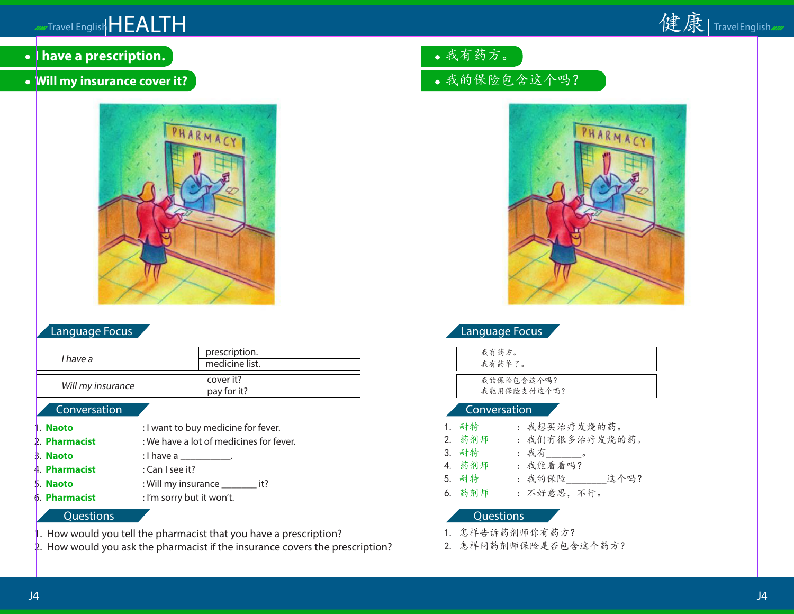

- **I have a prescription.**
- **Will my insurance cover it?**



## Language Focus

| I have a          | prescription.<br>medicine list. |
|-------------------|---------------------------------|
| Will my insurance | cover it?<br>pay for it?        |

### **Conversation**

- 1. **Naoto** : I want to buy medicine for fever.
- 2. **Pharmacist** : We have a lot of medicines for fever.
- **3. Naoto** : I have a <u>\_\_\_\_\_\_\_\_</u>.
- 4. **Pharmacist** : Can I see it?
- 5. **Naoto** : Will my insurance \_\_\_\_\_\_\_ it?

6. **Pharmacist** : I'm sorry but it won't.

#### **Questions**

- 1. How would you tell the pharmacist that you have a prescription?
- 2. How would you ask the pharmacist if the insurance covers the prescription?

我有药方。

# 我的保险包含这个吗?



## Language Focus

| 我有药方。       |
|-------------|
| 我有药单了。      |
|             |
| 我的保险包含这个吗?  |
| 我能用保险支付这个吗? |
|             |

#### Conversation

1. 耐特 : 我想买治疗发烧的药。 2. 药剂师 : 我们有很多治疗发烧的药。 3. 耐特 : 我有 。 4. 药剂师 : 我能看看吗? 5. 耐特 : 我的保险\_\_\_\_\_\_\_\_这个吗? 6. 药剂师 : 不好意思,不行。

- 1. 怎样告诉药剂师你有药方?
- 2. 怎样问药剂师保险是否包含这个药方?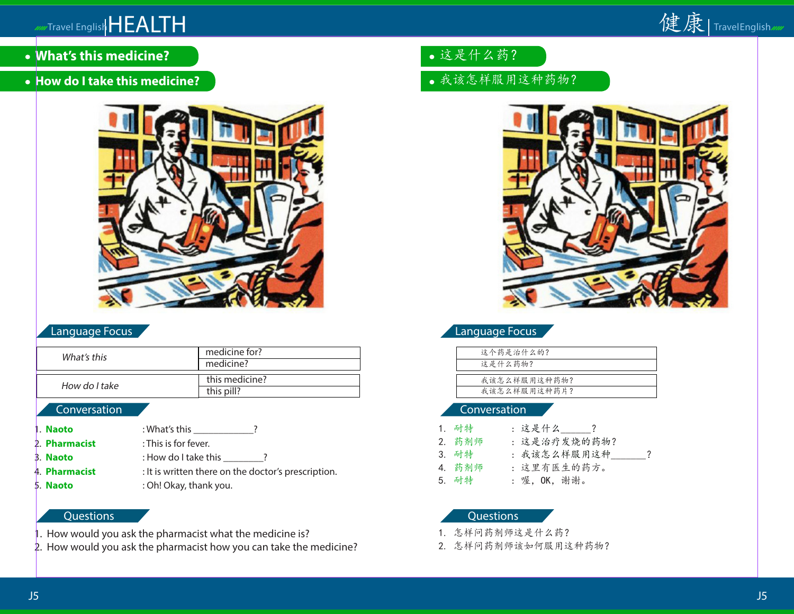

- **What's this medicine?**
- **How do I take this medicine?**



# Language Focus

| What's this   | medicine for?  |
|---------------|----------------|
|               | medicine?      |
|               |                |
| How do I take | this medicine? |
|               | this pill?     |
|               |                |

# **Conversation**

- 1. **Naoto** : What's this \_\_\_\_\_\_\_\_\_\_\_\_\_?
- 2. **Pharmacist** : This is for fever.
- 3. **Naoto** : How do I take this \_\_\_\_\_\_\_\_?
- 4. **Pharmacist** : It is written there on the doctor's prescription.
- 5. **Naoto** : Oh! Okay, thank you.

# **Questions**

- 1. How would you ask the pharmacist what the medicine is?
- 2. How would you ask the pharmacist how you can take the medicine?

# 这是什么药?

# 我该怎样服用这种药物?



# Language Focus

| 这个药是治什么的?    |
|--------------|
| 这是什么药物?      |
|              |
| 我该怎么样服用这种药物? |
| 我该怎么样服用这种药片? |
|              |

# Conversation

| 1. 耐特  | : 这是什么 ?     |
|--------|--------------|
| 2. 药剂师 | : 这是治疗发烧的药物? |
| 3. 耐特  | : 我该怎么样服用这种  |
| 4. 药剂师 | : 这里有医生的药方。  |
| 5. 耐特  | : 喔, OK, 谢谢。 |

- 1. 怎样问药剂师这是什么药?
- 2. 怎样问药剂师该如何服用这种药物?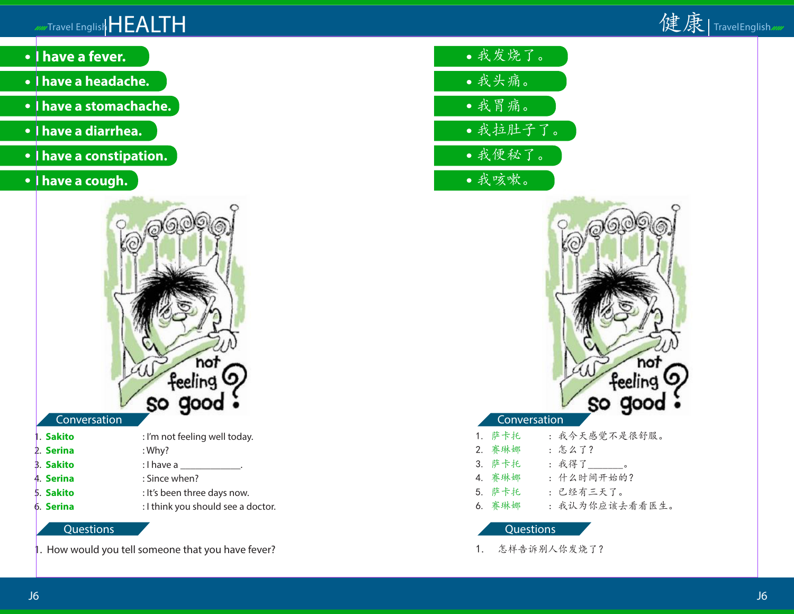# Travel English HEALTH



- **I have a fever.**
- **I have a headache.**
- **I have a stomachache.**
- **I have a diarrhea.**
- **I have a constipation.**
- **I have a cough.**



# **Conversation**

| 1. Sakito | : I'm not feeling well today.      |
|-----------|------------------------------------|
| 2. Serina | : Why?                             |
| 3. Sakito | : I have a _______________.        |
| 4. Serina | : Since when?                      |
| 5. Sakito | : It's been three days now.        |
| 6. Serina | : I think you should see a doctor. |
|           |                                    |

# **Questions**

. How would you tell someone that you have fever?

- 我发烧了。 我头痛。 我胃痛。
- 我拉肚子了。
- 我便秘了。
- 我咳嗽。



- 5. 萨卡托 : 已经有三天了。
- 6. 赛琳娜 : 我认为你应该去看看医生。

**Questions** 

1. 怎样告诉别人你发烧了?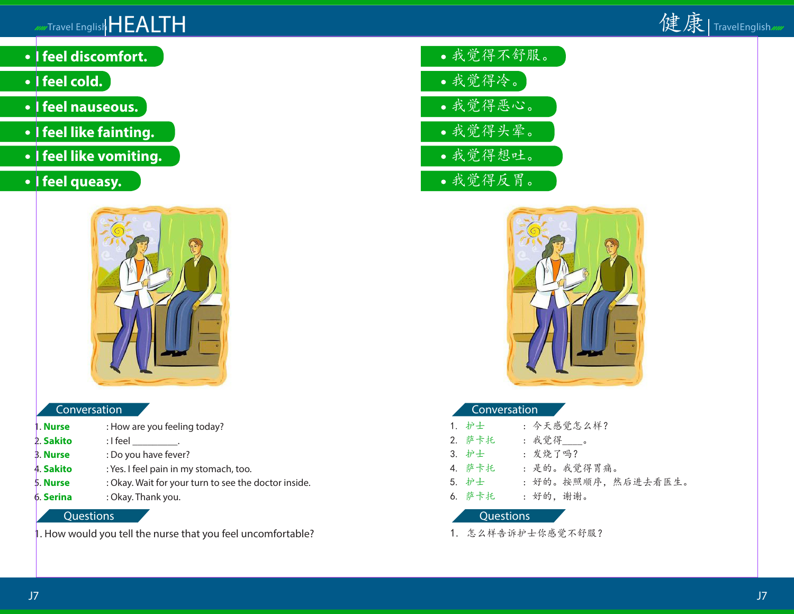

- **I feel discomfort.**
- **•** I feel cold.
- **I feel nauseous.**
- **I feel like fainting.**
- **I feel like vomiting.**
- **•** I feel queasy.



# **Conversation**

- 1. **Nurse** : How are you feeling today?
- 2. **Sakito** : I feel \_\_\_\_\_\_\_\_\_.
- 3. **Nurse** : Do you have fever?
- 4. **Sakito** : Yes. I feel pain in my stomach, too.
- 5. **Nurse** : Okay. Wait for your turn to see the doctor inside.
- 6. **Serina** : Okay. Thank you.

#### **Questions**

1. How would you tell the nurse that you feel uncomfortable?

我觉得不舒服。 我觉得冷。 我觉得恶心。 我觉得头晕。 我觉得想吐。 我觉得反胃。



### Conversation

| 1. 护士  | : 今天感觉怎么样?          |
|--------|---------------------|
| 2. 萨卡托 | : 我觉得____。          |
| 3. 护士  | : 发烧了吗?             |
| 4. 萨卡托 | : 是的。我觉得胃痛。         |
| 5. 护士  | : 好的。按照顺序, 然后进去看医生。 |
| 6. 萨卡托 | : 好的, 谢谢。           |
|        |                     |

#### Questions

1. 怎么样告诉护士你感觉不舒服?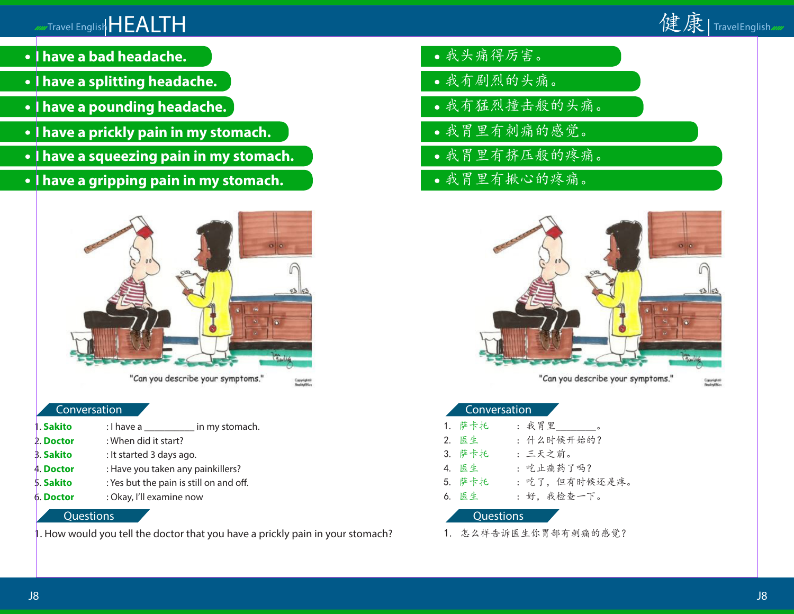# Travel English HEALTH



- **I have a bad headache.**
- **I have a splitting headache.**
- **I have a pounding headache.**
- **I have a prickly pain in my stomach.**
- **I have a squeezing pain in my stomach.**
- **I have a gripping pain in my stomach.**



"Can you describe your symptoms."

.<br>Copyrightsi<br>Denthrafti er

#### Conversation

**Sakito** : I have a common in my stomach. 2. **Doctor** : When did it start? 3. **Sakito** : It started 3 days ago. 4. **Doctor** : Have you taken any painkillers? 5. **Sakito** : Yes but the pain is still on and off. 6. **Doctor** : Okay, I'll examine now

#### **Questions**

1. How would you tell the doctor that you have a prickly pain in your stomach?

- 我头痛得厉害。
- 我有剧烈的头痛。
- 我有猛烈撞击般的头痛。
- 我胃里有刺痛的感觉。
- 我胃里有挤压般的疼痛。
- 我胃里有揪心的疼痛。



"Can you describe your symptoms."

Copyrights

#### Conversation

| 1. 萨卡托 | : 我胃里 _________。 |  |
|--------|------------------|--|
| 2. 医生  | : 什么时候开始的?       |  |
| 3. 萨卡托 | :三天之前。           |  |
| 4. 医生  | : 吃止痛药了吗?        |  |
| 5. 萨卡托 | : 吃了,但有时候还是疼。    |  |
| 6. 医生  | : 好, 我检查一下。      |  |
|        |                  |  |

#### Questions

1. 怎么样告诉医生你胃部有刺痛的感觉?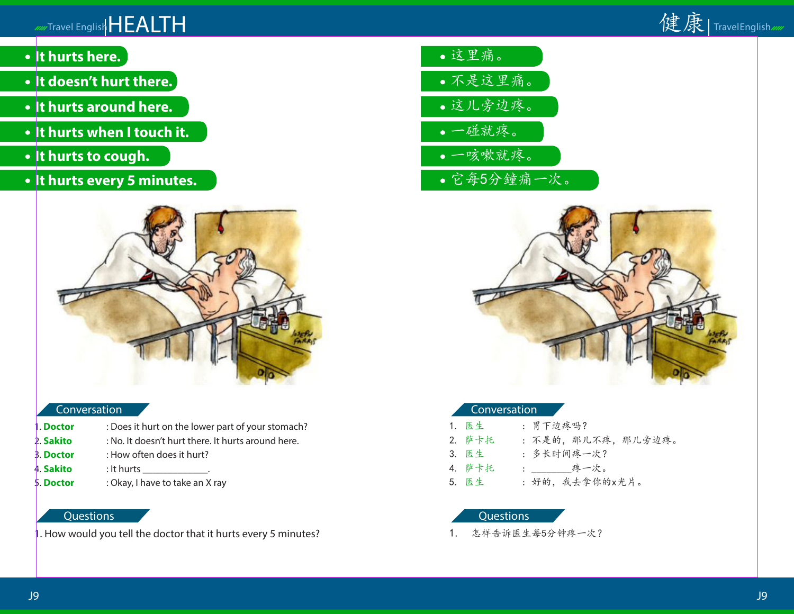

- **It hurts here.**
- **It doesn't hurt there.**
- **It hurts around here.**
- **It hurts when I touch it.**
- **It hurts to cough.**
- **It hurts every 5 minutes.**



#### Conversation

1. **Doctor** : Does it hurt on the lower part of your stomach? 2. **Sakito** : No. It doesn't hurt there. It hurts around here. 3. **Doctor** : How often does it hurt? 4. **Sakito** : It hurts \_\_\_\_\_\_\_\_\_\_\_\_\_. 5. **Doctor** : Okay, I have to take an X ray

# **Questions**

1. How would you tell the doctor that it hurts every 5 minutes?





#### Conversation

| 1. 医生  | :胃下边疼吗?             |
|--------|---------------------|
| 2. 萨卡托 | : 不是的, 那儿不疼, 那儿旁边疼。 |
| 3. 医生  | : 多长时间疼一次?          |
| 4. 萨卡托 | : ______疼一次。        |
| 5. 医生  | : 好的, 我去拿你的x光片。     |

### **Questions**

1. 怎样告诉医生每5分钟疼一次?